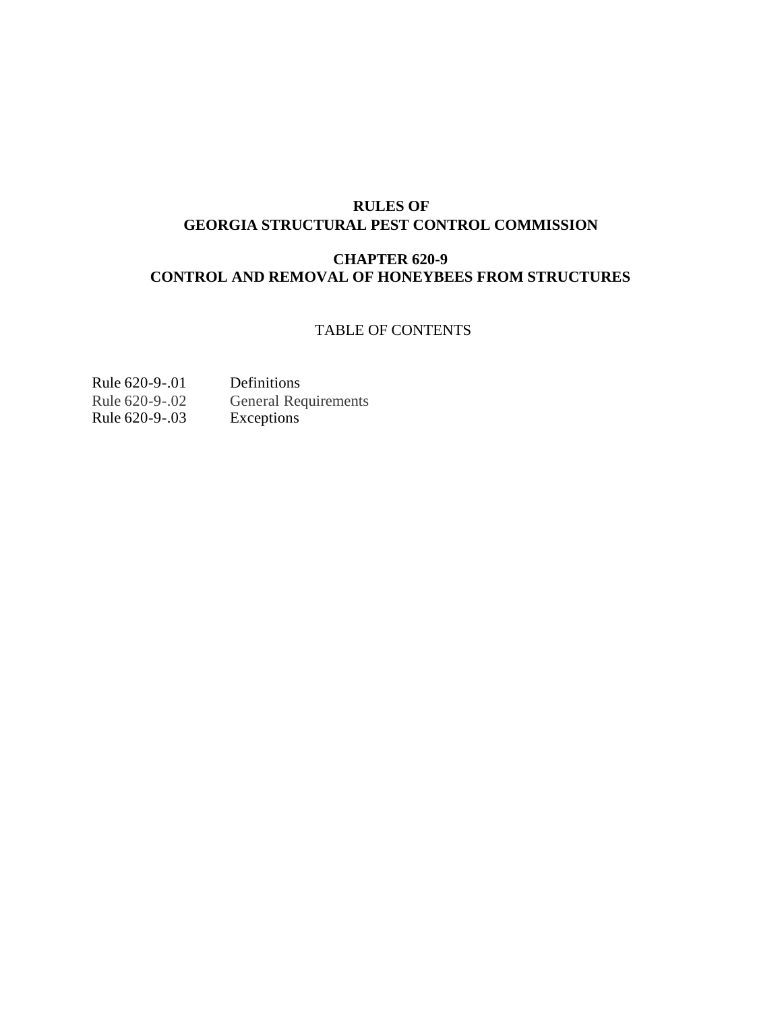## **RULES OF GEORGIA STRUCTURAL PEST CONTROL COMMISSION**

# **CHAPTER 620-9 CONTROL AND REMOVAL OF HONEYBEES FROM STRUCTURES**

## TABLE OF CONTENTS

| Rule 620-9-.01 | Definitions                 |
|----------------|-----------------------------|
| Rule 620-9-.02 | <b>General Requirements</b> |
| Rule 620-9-.03 | Exceptions                  |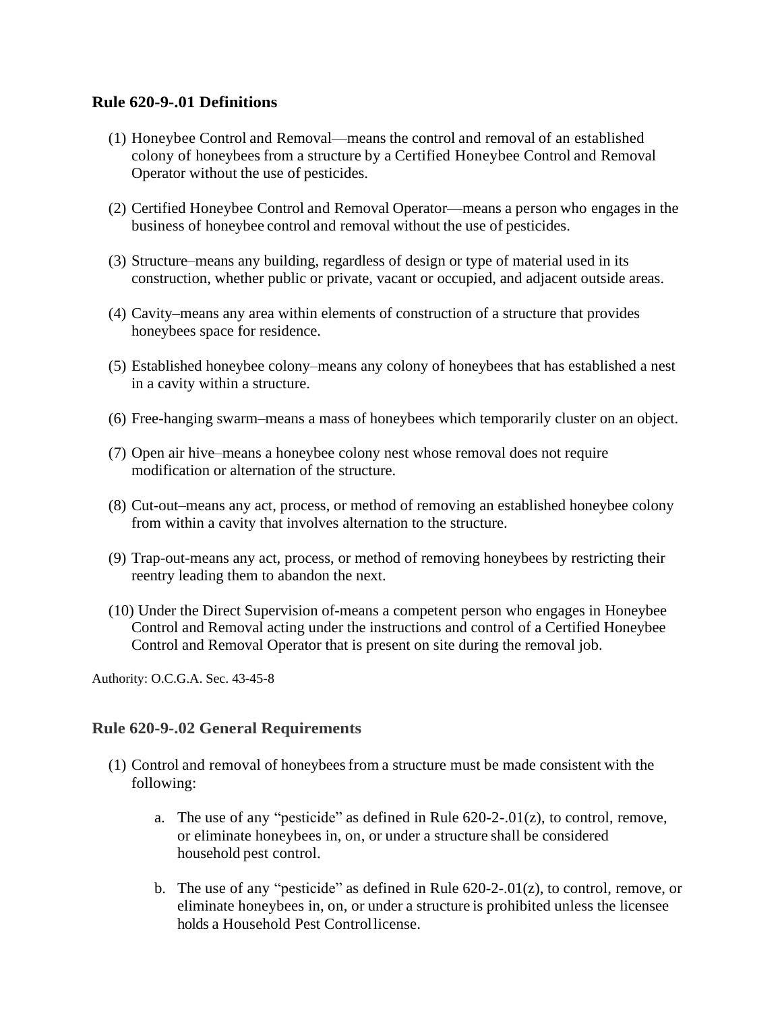### **Rule 620-9-.01 Definitions**

- (1) Honeybee Control and Removal—means the control and removal of an established colony of honeybees from a structure by a Certified Honeybee Control and Removal Operator without the use of pesticides.
- (2) Certified Honeybee Control and Removal Operator—means a person who engages in the business of honeybee control and removal without the use of pesticides.
- (3) Structure–means any building, regardless of design or type of material used in its construction, whether public or private, vacant or occupied, and adjacent outside areas.
- (4) Cavity–means any area within elements of construction of a structure that provides honeybees space for residence.
- (5) Established honeybee colony–means any colony of honeybees that has established a nest in a cavity within a structure.
- (6) Free-hanging swarm–means a mass of honeybees which temporarily cluster on an object.
- (7) Open air hive–means a honeybee colony nest whose removal does not require modification or alternation of the structure.
- (8) Cut-out–means any act, process, or method of removing an established honeybee colony from within a cavity that involves alternation to the structure.
- (9) Trap-out-means any act, process, or method of removing honeybees by restricting their reentry leading them to abandon the next.
- (10) Under the Direct Supervision of-means a competent person who engages in Honeybee Control and Removal acting under the instructions and control of a Certified Honeybee Control and Removal Operator that is present on site during the removal job.

Authority: O.C.G.A. Sec. 43-45-8

### **Rule 620-9-.02 General Requirements**

- (1) Control and removal of honeybeesfrom a structure must be made consistent with the following:
	- a. The use of any "pesticide" as defined in Rule  $620-2-01(z)$ , to control, remove, or eliminate honeybees in, on, or under a structure shall be considered household pest control.
	- b. The use of any "pesticide" as defined in Rule  $620-2-01(z)$ , to control, remove, or eliminate honeybees in, on, or under a structure is prohibited unless the licensee holds a Household Pest Controllicense.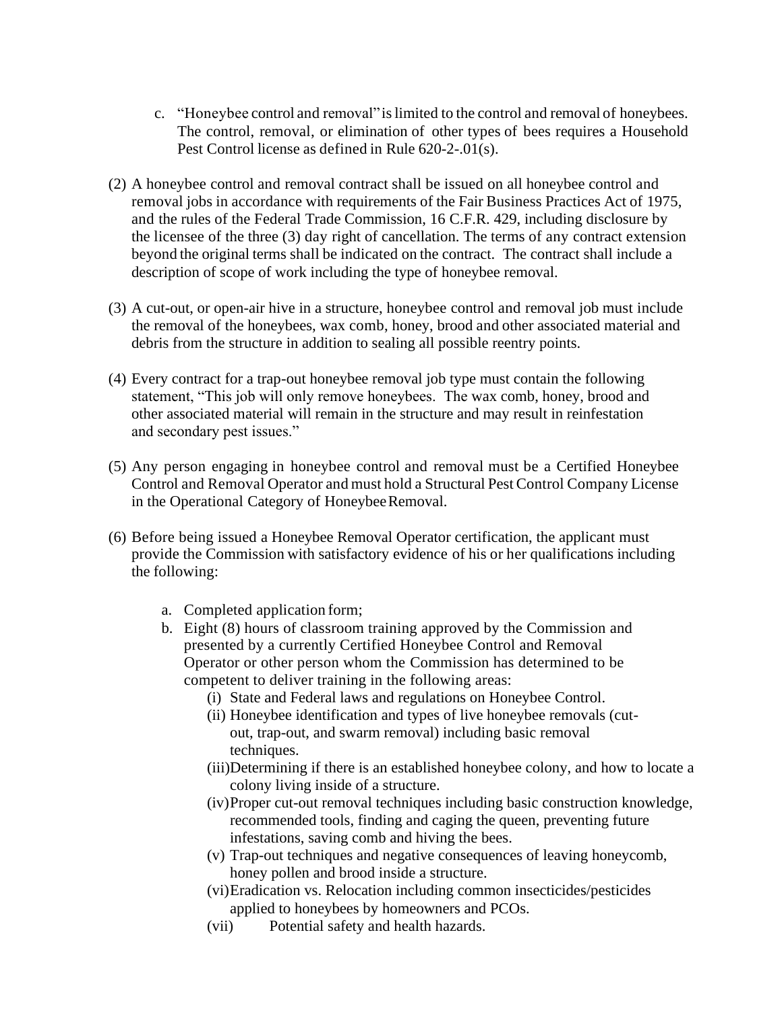- c. "Honeybee control and removal" islimited to the control and removal of honeybees. The control, removal, or elimination of other types of bees requires a Household Pest Control license as defined in Rule 620-2-.01(s).
- (2) A honeybee control and removal contract shall be issued on all honeybee control and removal jobs in accordance with requirements of the Fair Business Practices Act of 1975, and the rules of the Federal Trade Commission, 16 C.F.R. 429, including disclosure by the licensee of the three (3) day right of cancellation. The terms of any contract extension beyond the original terms shall be indicated on the contract. The contract shall include a description of scope of work including the type of honeybee removal.
- (3) A cut-out, or open-air hive in a structure, honeybee control and removal job must include the removal of the honeybees, wax comb, honey, brood and other associated material and debris from the structure in addition to sealing all possible reentry points.
- (4) Every contract for a trap-out honeybee removal job type must contain the following statement, "This job will only remove honeybees. The wax comb, honey, brood and other associated material will remain in the structure and may result in reinfestation and secondary pest issues."
- (5) Any person engaging in honeybee control and removal must be a Certified Honeybee Control and Removal Operator and must hold a Structural Pest Control Company License in the Operational Category of Honeybee Removal.
- (6) Before being issued a Honeybee Removal Operator certification, the applicant must provide the Commission with satisfactory evidence of his or her qualifications including the following:
	- a. Completed application form;
	- b. Eight (8) hours of classroom training approved by the Commission and presented by a currently Certified Honeybee Control and Removal Operator or other person whom the Commission has determined to be competent to deliver training in the following areas:
		- (i) State and Federal laws and regulations on Honeybee Control.
		- (ii) Honeybee identification and types of live honeybee removals (cutout, trap-out, and swarm removal) including basic removal techniques.
		- (iii)Determining if there is an established honeybee colony, and how to locate a colony living inside of a structure.
		- (iv)Proper cut-out removal techniques including basic construction knowledge, recommended tools, finding and caging the queen, preventing future infestations, saving comb and hiving the bees.
		- (v) Trap-out techniques and negative consequences of leaving honeycomb, honey pollen and brood inside a structure.
		- (vi)Eradication vs. Relocation including common insecticides/pesticides applied to honeybees by homeowners and PCOs.
		- (vii) Potential safety and health hazards.